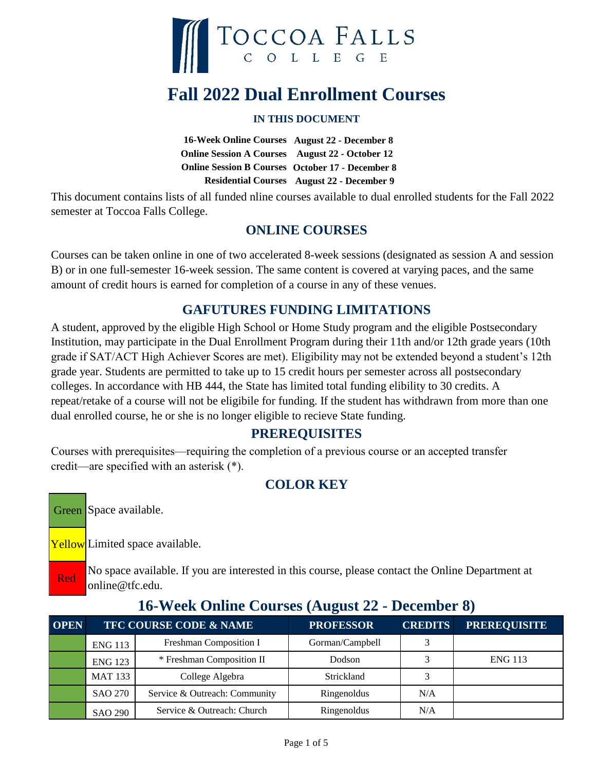

# **Fall 2022 Dual Enrollment Courses**

#### **IN THIS DOCUMENT**

16-Week Online Courses August 22 - December 8 **Online Session A Courses** August 22 - October 12 **Online Session B Courses October 17 - December 8 August 22 - December 9 Residential Courses**

This document contains lists of all funded nline courses available to dual enrolled students for the Fall 2022 semester at Toccoa Falls College.

#### **ONLINE COURSES**

Courses can be taken online in one of two accelerated 8-week sessions (designated as session A and session B) or in one full-semester 16-week session. The same content is covered at varying paces, and the same amount of credit hours is earned for completion of a course in any of these venues.

### **GAFUTURES FUNDING LIMITATIONS**

A student, approved by the eligible High School or Home Study program and the eligible Postsecondary Institution, may participate in the Dual Enrollment Program during their 11th and/or 12th grade years (10th grade if SAT/ACT High Achiever Scores are met). Eligibility may not be extended beyond a student's 12th grade year. Students are permitted to take up to 15 credit hours per semester across all postsecondary colleges. In accordance with HB 444, the State has limited total funding elibility to 30 credits. A repeat/retake of a course will not be eligibile for funding. If the student has withdrawn from more than one dual enrolled course, he or she is no longer eligible to recieve State funding.

### **PREREQUISITES**

Courses with prerequisites—requiring the completion of a previous course or an accepted transfer credit—are specified with an asterisk (\*).

## **COLOR KEY**

Green Space available.

Red

Yellow Limited space available.

No space available. If you are interested in this course, please contact the Online Department at online@tfc.edu.

| <b>OPEN</b> |                | TFC COURSE CODE & NAME        | <b>PROFESSOR</b> | <b>CREDITS</b> | <b>PREREQUISITE</b> |
|-------------|----------------|-------------------------------|------------------|----------------|---------------------|
|             | <b>ENG 113</b> | Freshman Composition I        | Gorman/Campbell  |                |                     |
|             | <b>ENG 123</b> | * Freshman Composition II     | Dodson           |                | <b>ENG 113</b>      |
|             | <b>MAT 133</b> | College Algebra               | Strickland       |                |                     |
|             | <b>SAO 270</b> | Service & Outreach: Community | Ringenoldus      | N/A            |                     |
|             | <b>SAO 290</b> | Service & Outreach: Church    | Ringenoldus      | N/A            |                     |

#### **16-Week Online Courses (August 22 - December 8)**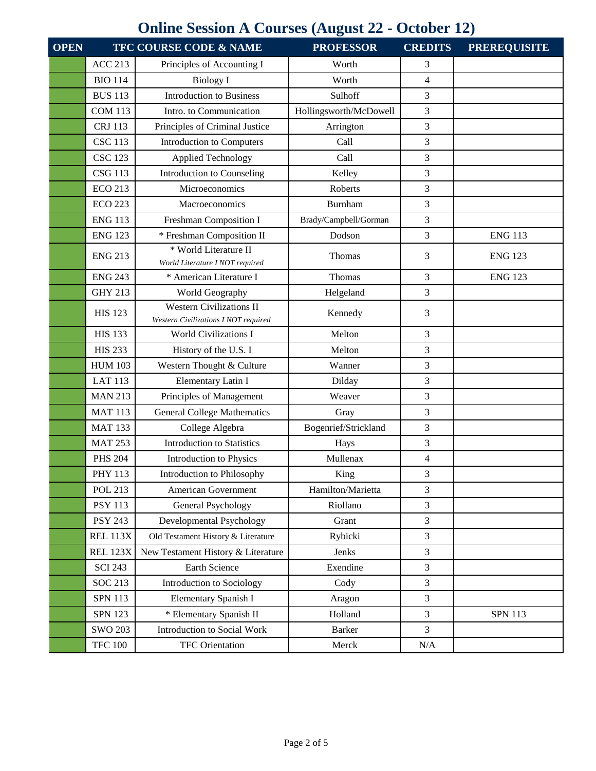## **Online Session A Courses (August 22 - October 12)**

| <b>OPEN</b> |                 | TFC COURSE CODE & NAME                                                  | <b>PROFESSOR</b>       | <b>CREDITS</b> | <b>PREREQUISITE</b> |
|-------------|-----------------|-------------------------------------------------------------------------|------------------------|----------------|---------------------|
|             | <b>ACC 213</b>  | Principles of Accounting I                                              | Worth                  | 3              |                     |
|             | <b>BIO 114</b>  | <b>Biology I</b>                                                        | Worth                  | 4              |                     |
|             | <b>BUS 113</b>  | <b>Introduction to Business</b>                                         | Sulhoff                | 3              |                     |
|             | <b>COM 113</b>  | Intro. to Communication                                                 | Hollingsworth/McDowell | 3              |                     |
|             | <b>CRJ</b> 113  | Principles of Criminal Justice                                          | Arrington              | 3              |                     |
|             | <b>CSC 113</b>  | <b>Introduction to Computers</b>                                        | Call                   | 3              |                     |
|             | <b>CSC 123</b>  | <b>Applied Technology</b>                                               | Call                   | 3              |                     |
|             | <b>CSG 113</b>  | Introduction to Counseling                                              | Kelley                 | 3              |                     |
|             | <b>ECO 213</b>  | Microeconomics                                                          | Roberts                | 3              |                     |
|             | <b>ECO 223</b>  | Macroeconomics                                                          | Burnham                | 3              |                     |
|             | <b>ENG 113</b>  | Freshman Composition I                                                  | Brady/Campbell/Gorman  | 3              |                     |
|             | <b>ENG 123</b>  | * Freshman Composition II                                               | Dodson                 | 3              | <b>ENG 113</b>      |
|             | <b>ENG 213</b>  | * World Literature II<br>World Literature I NOT required                | Thomas                 | 3              | <b>ENG 123</b>      |
|             | <b>ENG 243</b>  | * American Literature I                                                 | Thomas                 | 3              | <b>ENG 123</b>      |
|             | <b>GHY 213</b>  | World Geography                                                         | Helgeland              | 3              |                     |
|             | <b>HIS 123</b>  | <b>Western Civilizations II</b><br>Western Civilizations I NOT required | Kennedy                | 3              |                     |
|             | <b>HIS 133</b>  | <b>World Civilizations I</b>                                            | Melton                 | 3              |                     |
|             | <b>HIS 233</b>  | History of the U.S. I                                                   | Melton                 | 3              |                     |
|             | <b>HUM 103</b>  | Western Thought & Culture                                               | Wanner                 | 3              |                     |
|             | <b>LAT 113</b>  | Elementary Latin I                                                      | Dilday                 | 3              |                     |
|             | <b>MAN 213</b>  | Principles of Management                                                | Weaver                 | 3              |                     |
|             | <b>MAT 113</b>  | <b>General College Mathematics</b>                                      | Gray                   | 3              |                     |
|             | <b>MAT 133</b>  | College Algebra                                                         | Bogenrief/Strickland   | 3              |                     |
|             | <b>MAT 253</b>  | <b>Introduction to Statistics</b>                                       | Hays                   | 3              |                     |
|             | <b>PHS 204</b>  | Introduction to Physics                                                 | Mullenax               | $\overline{4}$ |                     |
|             | <b>PHY 113</b>  | Introduction to Philosophy                                              | King                   | 3              |                     |
|             | <b>POL 213</b>  | American Government                                                     | Hamilton/Marietta      | 3              |                     |
|             | <b>PSY 113</b>  | General Psychology                                                      | Riollano               | 3              |                     |
|             | <b>PSY 243</b>  | Developmental Psychology                                                | Grant                  | 3              |                     |
|             | <b>REL 113X</b> | Old Testament History & Literature                                      | Rybicki                | 3              |                     |
|             | <b>REL 123X</b> | New Testament History & Literature                                      | Jenks                  | 3              |                     |
|             | <b>SCI 243</b>  | Earth Science                                                           | Exendine               | 3              |                     |
|             | <b>SOC 213</b>  | Introduction to Sociology                                               | Cody                   | 3              |                     |
|             | <b>SPN 113</b>  | Elementary Spanish I                                                    | Aragon                 | 3              |                     |
|             | <b>SPN 123</b>  | * Elementary Spanish II                                                 | Holland                | 3              | <b>SPN 113</b>      |
|             | <b>SWO 203</b>  | Introduction to Social Work                                             | <b>Barker</b>          | 3              |                     |
|             | <b>TFC 100</b>  | <b>TFC</b> Orientation                                                  | Merck                  | N/A            |                     |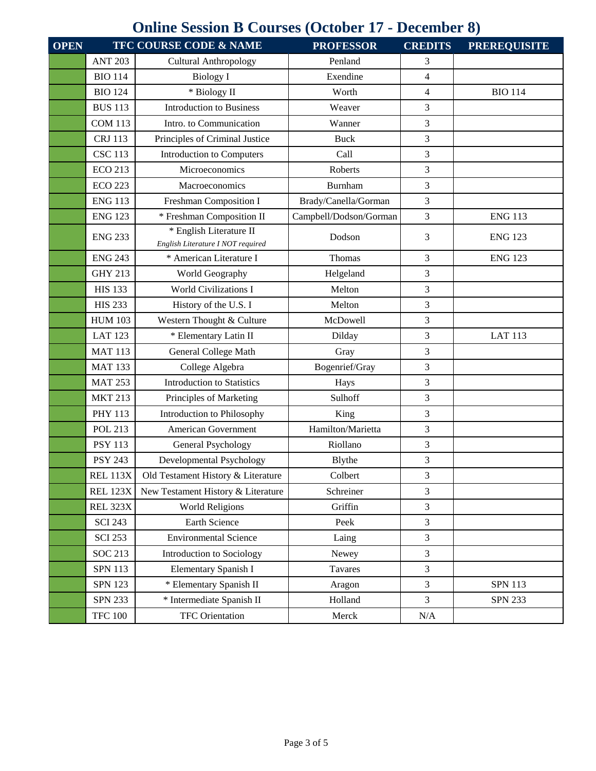# **Online Session B Courses (October 17 - December 8)**

| <b>OPEN</b> |                 | TFC COURSE CODE & NAME                                       | <b>PROFESSOR</b>       | <b>CREDITS</b> | <b>PREREQUISITE</b> |
|-------------|-----------------|--------------------------------------------------------------|------------------------|----------------|---------------------|
|             | <b>ANT 203</b>  | <b>Cultural Anthropology</b>                                 | Penland                | 3              |                     |
|             | <b>BIO 114</b>  | <b>Biology I</b>                                             | Exendine               | $\overline{4}$ |                     |
|             | <b>BIO 124</b>  | * Biology II                                                 | Worth                  | $\overline{4}$ | <b>BIO 114</b>      |
|             | <b>BUS 113</b>  | <b>Introduction to Business</b>                              | Weaver                 | 3              |                     |
|             | <b>COM 113</b>  | Intro. to Communication                                      | Wanner                 | 3              |                     |
|             | <b>CRJ</b> 113  | Principles of Criminal Justice                               | <b>Buck</b>            | 3              |                     |
|             | <b>CSC 113</b>  | <b>Introduction to Computers</b>                             | Call                   | 3              |                     |
|             | <b>ECO 213</b>  | Microeconomics                                               | Roberts                | 3              |                     |
|             | <b>ECO 223</b>  | Macroeconomics                                               | <b>Burnham</b>         | 3              |                     |
|             | <b>ENG 113</b>  | Freshman Composition I                                       | Brady/Canella/Gorman   | 3              |                     |
|             | <b>ENG 123</b>  | * Freshman Composition II                                    | Campbell/Dodson/Gorman | 3              | <b>ENG 113</b>      |
|             | <b>ENG 233</b>  | * English Literature II<br>English Literature I NOT required | Dodson                 | 3              | <b>ENG 123</b>      |
|             | <b>ENG 243</b>  | * American Literature I                                      | Thomas                 | 3              | <b>ENG 123</b>      |
|             | <b>GHY 213</b>  | World Geography                                              | Helgeland              | 3              |                     |
|             | <b>HIS 133</b>  | <b>World Civilizations I</b>                                 | Melton                 | 3              |                     |
|             | <b>HIS 233</b>  | History of the U.S. I                                        | Melton                 | 3              |                     |
|             | <b>HUM 103</b>  | Western Thought & Culture                                    | McDowell               | 3              |                     |
|             | <b>LAT 123</b>  | * Elementary Latin II                                        | Dilday                 | 3              | <b>LAT 113</b>      |
|             | <b>MAT 113</b>  | General College Math                                         | Gray                   | 3              |                     |
|             | <b>MAT 133</b>  | College Algebra                                              | Bogenrief/Gray         | 3              |                     |
|             | <b>MAT 253</b>  | <b>Introduction to Statistics</b>                            | Hays                   | 3              |                     |
|             | <b>MKT 213</b>  | Principles of Marketing                                      | Sulhoff                | 3              |                     |
|             | <b>PHY 113</b>  | Introduction to Philosophy                                   | King                   | 3              |                     |
|             | <b>POL 213</b>  | <b>American Government</b>                                   | Hamilton/Marietta      | 3              |                     |
|             | <b>PSY 113</b>  | General Psychology                                           | Riollano               | 3              |                     |
|             | <b>PSY 243</b>  | Developmental Psychology                                     | Blythe                 | 3              |                     |
|             | <b>REL 113X</b> | Old Testament History & Literature                           | Colbert                | 3              |                     |
|             | <b>REL 123X</b> | New Testament History & Literature                           | Schreiner              | 3              |                     |
|             | <b>REL 323X</b> | <b>World Religions</b>                                       | Griffin                | 3              |                     |
|             | <b>SCI 243</b>  | Earth Science                                                | Peek                   | 3              |                     |
|             | <b>SCI 253</b>  | <b>Environmental Science</b>                                 | Laing                  | 3              |                     |
|             | SOC 213         | Introduction to Sociology                                    | Newey                  | $\overline{3}$ |                     |
|             | <b>SPN 113</b>  | Elementary Spanish I                                         | Tavares                | 3              |                     |
|             | <b>SPN 123</b>  | * Elementary Spanish II                                      | Aragon                 | 3              | <b>SPN 113</b>      |
|             | <b>SPN 233</b>  | * Intermediate Spanish II                                    | Holland                | $\overline{3}$ | <b>SPN 233</b>      |
|             | <b>TFC 100</b>  | TFC Orientation                                              | Merck                  | N/A            |                     |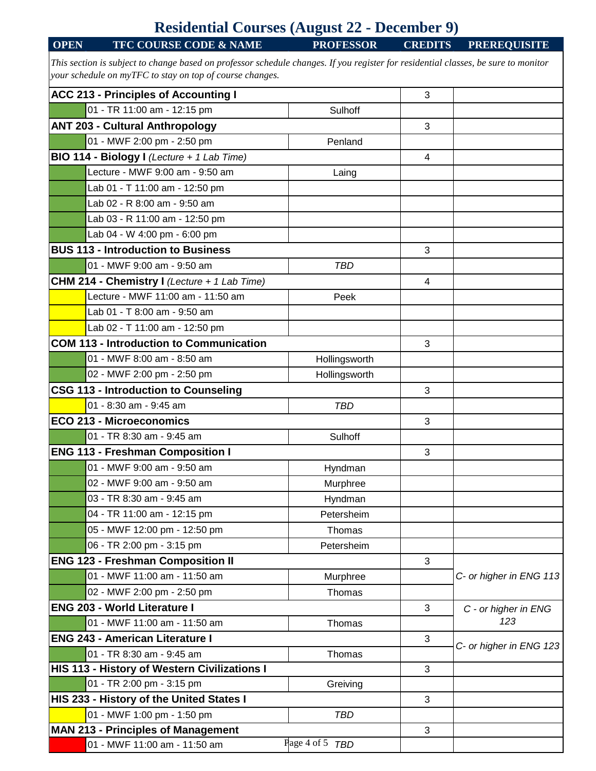## **Residential Courses (August 22 - December 9)**

| <b>OPEN</b>                                              | <b>TFC COURSE CODE &amp; NAME</b>                                                                                                  | $\bullet$<br><b>PROFESSOR</b> | <b>CREDITS</b> | <b>PREREQUISITE</b>     |  |
|----------------------------------------------------------|------------------------------------------------------------------------------------------------------------------------------------|-------------------------------|----------------|-------------------------|--|
|                                                          | This section is subject to change based on professor schedule changes. If you register for residential classes, be sure to monitor |                               |                |                         |  |
| your schedule on myTFC to stay on top of course changes. |                                                                                                                                    |                               |                |                         |  |
|                                                          | <b>ACC 213 - Principles of Accounting I</b>                                                                                        |                               | 3              |                         |  |
|                                                          | 01 - TR 11:00 am - 12:15 pm                                                                                                        | Sulhoff                       |                |                         |  |
|                                                          | <b>ANT 203 - Cultural Anthropology</b>                                                                                             |                               | 3              |                         |  |
|                                                          | 01 - MWF 2:00 pm - 2:50 pm                                                                                                         | Penland                       |                |                         |  |
|                                                          | BIO 114 - Biology I (Lecture + 1 Lab Time)                                                                                         |                               | 4              |                         |  |
|                                                          | Lecture - MWF 9:00 am - 9:50 am                                                                                                    | Laing                         |                |                         |  |
|                                                          | Lab 01 - T 11:00 am - 12:50 pm                                                                                                     |                               |                |                         |  |
|                                                          | Lab 02 - R 8:00 am - 9:50 am                                                                                                       |                               |                |                         |  |
|                                                          | Lab 03 - R 11:00 am - 12:50 pm                                                                                                     |                               |                |                         |  |
|                                                          | Lab 04 - W 4:00 pm - 6:00 pm                                                                                                       |                               |                |                         |  |
|                                                          | <b>BUS 113 - Introduction to Business</b>                                                                                          |                               | 3              |                         |  |
|                                                          | 01 - MWF 9:00 am - 9:50 am                                                                                                         |                               |                |                         |  |
|                                                          |                                                                                                                                    | <b>TBD</b>                    |                |                         |  |
|                                                          | <b>CHM 214 - Chemistry I</b> (Lecture + 1 Lab Time)                                                                                |                               | $\overline{4}$ |                         |  |
|                                                          | Lecture - MWF 11:00 am - 11:50 am                                                                                                  | Peek                          |                |                         |  |
|                                                          | Lab 01 - T 8:00 am - 9:50 am                                                                                                       |                               |                |                         |  |
|                                                          | Lab 02 - T 11:00 am - 12:50 pm                                                                                                     |                               |                |                         |  |
|                                                          | <b>COM 113 - Introduction to Communication</b>                                                                                     |                               | 3              |                         |  |
|                                                          | 01 - MWF 8:00 am - 8:50 am                                                                                                         | Hollingsworth                 |                |                         |  |
|                                                          | 02 - MWF 2:00 pm - 2:50 pm                                                                                                         | Hollingsworth                 |                |                         |  |
|                                                          | <b>CSG 113 - Introduction to Counseling</b>                                                                                        |                               | 3              |                         |  |
|                                                          | 01 - 8:30 am - 9:45 am                                                                                                             | <b>TBD</b>                    |                |                         |  |
|                                                          | <b>ECO 213 - Microeconomics</b>                                                                                                    |                               | 3              |                         |  |
|                                                          | 01 - TR 8:30 am - 9:45 am                                                                                                          | Sulhoff                       |                |                         |  |
|                                                          | <b>ENG 113 - Freshman Composition I</b>                                                                                            |                               | 3              |                         |  |
|                                                          | 01 - MWF 9:00 am - 9:50 am                                                                                                         | Hyndman                       |                |                         |  |
|                                                          | 02 - MWF 9:00 am - 9:50 am                                                                                                         | Murphree                      |                |                         |  |
|                                                          | 03 - TR 8:30 am - 9:45 am                                                                                                          | Hyndman                       |                |                         |  |
|                                                          | 04 - TR 11:00 am - 12:15 pm                                                                                                        | Petersheim                    |                |                         |  |
|                                                          | 05 - MWF 12:00 pm - 12:50 pm                                                                                                       | Thomas                        |                |                         |  |
|                                                          | 06 - TR 2:00 pm - 3:15 pm                                                                                                          | Petersheim                    |                |                         |  |
|                                                          | <b>ENG 123 - Freshman Composition II</b>                                                                                           |                               | 3              |                         |  |
|                                                          | 01 - MWF 11:00 am - 11:50 am                                                                                                       | Murphree                      |                | C- or higher in ENG 113 |  |
|                                                          | 02 - MWF 2:00 pm - 2:50 pm                                                                                                         | Thomas                        |                |                         |  |
|                                                          | <b>ENG 203 - World Literature I</b>                                                                                                |                               | 3              | C - or higher in ENG    |  |
|                                                          | 01 - MWF 11:00 am - 11:50 am                                                                                                       | Thomas                        |                | 123                     |  |
|                                                          | <b>ENG 243 - American Literature I</b>                                                                                             |                               | 3              | C- or higher in ENG 123 |  |
|                                                          | 01 - TR 8:30 am - 9:45 am                                                                                                          | Thomas                        |                |                         |  |
|                                                          | HIS 113 - History of Western Civilizations I                                                                                       |                               | 3              |                         |  |
|                                                          | 01 - TR 2:00 pm - 3:15 pm                                                                                                          | Greiving                      |                |                         |  |
| HIS 233 - History of the United States I                 |                                                                                                                                    |                               | 3              |                         |  |
|                                                          | 01 - MWF 1:00 pm - 1:50 pm                                                                                                         | <b>TBD</b>                    |                |                         |  |
|                                                          | <b>MAN 213 - Principles of Management</b>                                                                                          |                               | 3              |                         |  |
|                                                          | 01 - MWF 11:00 am - 11:50 am                                                                                                       | Page 4 of 5 TBD               |                |                         |  |